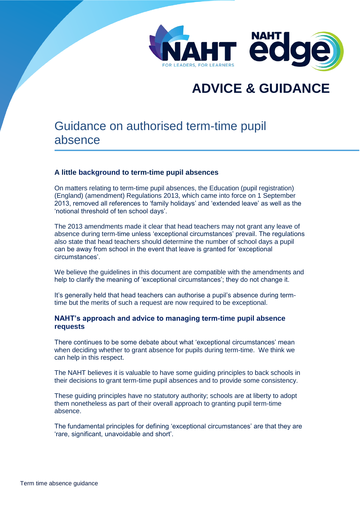

# **ADVICE & GUIDANCE**

## Guidance on authorised term-time pupil absence

#### **A little background to term-time pupil absences**

On matters relating to term-time pupil absences, the Education (pupil registration) (England) (amendment) Regulations 2013, which came into force on 1 September 2013, removed all references to 'family holidays' and 'extended leave' as well as the 'notional threshold of ten school days'.

The 2013 amendments made it clear that head teachers may not grant any leave of absence during term-time unless 'exceptional circumstances' prevail. The regulations also state that head teachers should determine the number of school days a pupil can be away from school in the event that leave is granted for 'exceptional circumstances'.

We believe the guidelines in this document are compatible with the amendments and help to clarify the meaning of 'exceptional circumstances'; they do not change it.

It's generally held that head teachers can authorise a pupil's absence during termtime but the merits of such a request are now required to be exceptional.

#### **NAHT's approach and advice to managing term-time pupil absence requests**

There continues to be some debate about what 'exceptional circumstances' mean when deciding whether to grant absence for pupils during term-time. We think we can help in this respect.

The NAHT believes it is valuable to have some guiding principles to back schools in their decisions to grant term-time pupil absences and to provide some consistency.

These guiding principles have no statutory authority; schools are at liberty to adopt them nonetheless as part of their overall approach to granting pupil term-time absence.

The fundamental principles for defining 'exceptional circumstances' are that they are 'rare, significant, unavoidable and short'.